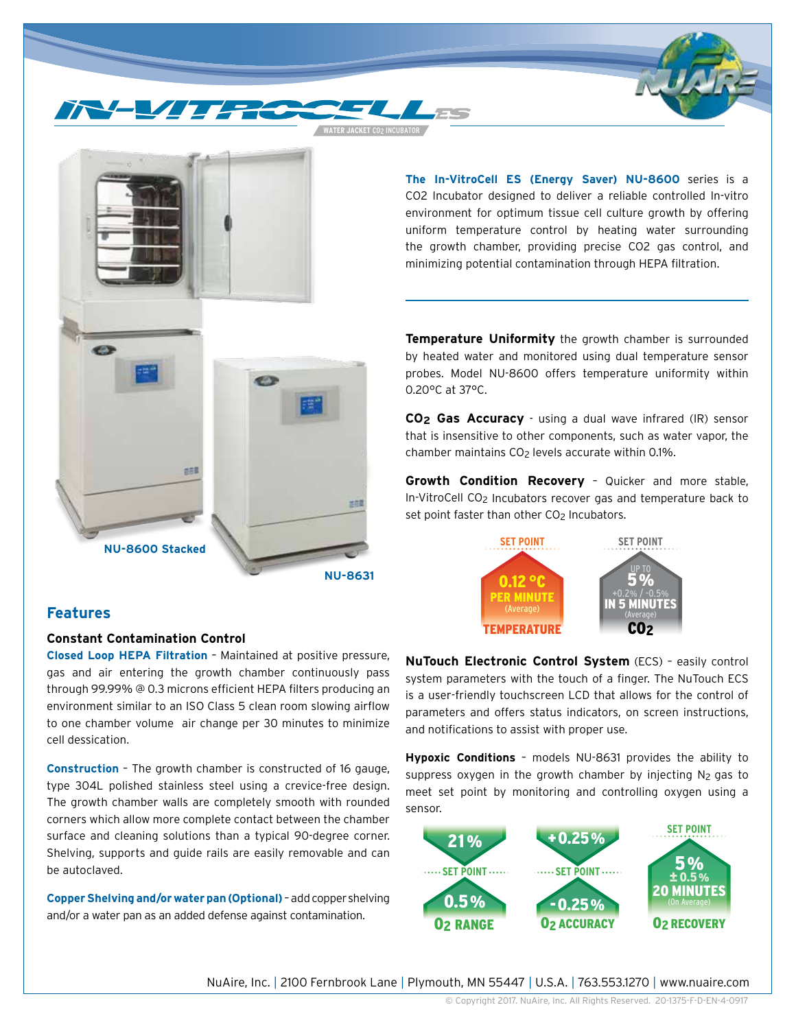**WATER JACKET** CO2 INCUBATOR

**The In-VitroCell ES (Energy Saver) NU-8600** series is a CO2 Incubator designed to deliver a reliable controlled In-vitro environment for optimum tissue cell culture growth by offering uniform temperature control by heating water surrounding the growth chamber, providing precise CO2 gas control, and minimizing potential contamination through HEPA filtration.

世田 古花 **NU-8600 Stacked NU-8631**

**Features**

**Constant Contamination Control**

**Closed Loop HEPA Filtration** – Maintained at positive pressure, gas and air entering the growth chamber continuously pass through 99.99% @ 0.3 microns efficient HEPA filters producing an environment similar to an ISO Class 5 clean room slowing airflow to one chamber volume air change per 30 minutes to minimize cell dessication.

**Construction** – The growth chamber is constructed of 16 gauge, type 304L polished stainless steel using a crevice-free design. The growth chamber walls are completely smooth with rounded corners which allow more complete contact between the chamber surface and cleaning solutions than a typical 90-degree corner. Shelving, supports and guide rails are easily removable and can be autoclaved.

**Copper Shelving and/or water pan (Optional)** – add copper shelving and/or a water pan as an added defense against contamination.

**Temperature Uniformity** the growth chamber is surrounded by heated water and monitored using dual temperature sensor probes. Model NU-8600 offers temperature uniformity within 0.20°C at 37°C.

**CO2 Gas Accuracy** - using a dual wave infrared (IR) sensor that is insensitive to other components, such as water vapor, the chamber maintains  $CO<sub>2</sub>$  levels accurate within 0.1%.

**Growth Condition Recovery** – Quicker and more stable, In-VitroCell CO2 Incubators recover gas and temperature back to set point faster than other CO<sub>2</sub> Incubators.



**NuTouch Electronic Control System** (ECS) – easily control system parameters with the touch of a finger. The NuTouch ECS is a user-friendly touchscreen LCD that allows for the control of parameters and offers status indicators, on screen instructions, and notifications to assist with proper use.

**Hypoxic Conditions** – models NU-8631 provides the ability to suppress oxygen in the growth chamber by injecting  $N_2$  gas to meet set point by monitoring and controlling oxygen using a sensor.



NuAire, Inc. | 2100 Fernbrook Lane | Plymouth, MN 55447 | U.S.A. | 763.553.1270 | www.nuaire.com